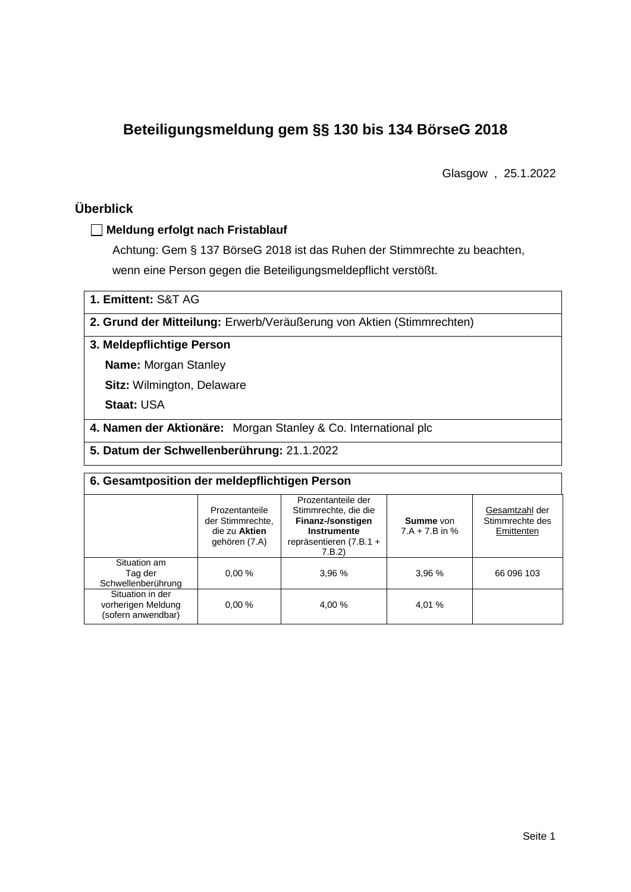# **Beteiligungsmeldung gem §§ 130 bis 134 BörseG 2018**

Glasgow , 25.1.2022

# **Überblick**

### **Meldung erfolgt nach Fristablauf**

Achtung: Gem § 137 BörseG 2018 ist das Ruhen der Stimmrechte zu beachten, wenn eine Person gegen die Beteiligungsmeldepflicht verstößt.

**1. Emittent:** S&T AG

**2. Grund der Mitteilung:** Erwerb/Veräußerung von Aktien (Stimmrechten)

### **3. Meldepflichtige Person**

**Name:** Morgan Stanley

**Sitz:** Wilmington, Delaware

**Staat:** USA

**4. Namen der Aktionäre:** Morgan Stanley & Co. International plc

**5. Datum der Schwellenberührung:** 21.1.2022

| 6. Gesamtposition der meldepflichtigen Person                |                                                                      |                                                                                                                      |                                      |                                                 |  |  |  |
|--------------------------------------------------------------|----------------------------------------------------------------------|----------------------------------------------------------------------------------------------------------------------|--------------------------------------|-------------------------------------------------|--|--|--|
|                                                              | Prozentanteile<br>der Stimmrechte.<br>die zu Aktien<br>gehören (7.A) | Prozentanteile der<br>Stimmrechte, die die<br>Finanz-/sonstigen<br>Instrumente<br>repräsentieren $(7.B.1 +$<br>7.B.2 | <b>Summe</b> von<br>$7.A + 7.B$ in % | Gesamtzahl der<br>Stimmrechte des<br>Emittenten |  |  |  |
| Situation am<br>Tag der<br>Schwellenberührung                | 0.00%                                                                | 3,96 %                                                                                                               | 3,96 %                               | 66 096 103                                      |  |  |  |
| Situation in der<br>vorherigen Meldung<br>(sofern anwendbar) | 0.00%                                                                | 4.00 %                                                                                                               | 4,01 %                               |                                                 |  |  |  |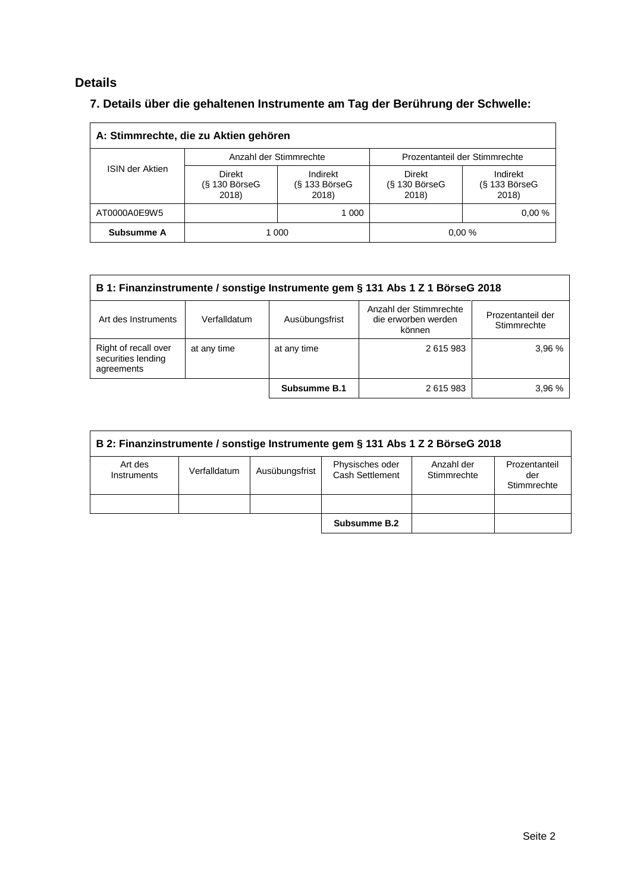# **Details**

# **7. Details über die gehaltenen Instrumente am Tag der Berührung der Schwelle:**

| A: Stimmrechte, die zu Aktien gehören |                                    |                                         |                                    |                                    |  |  |  |  |
|---------------------------------------|------------------------------------|-----------------------------------------|------------------------------------|------------------------------------|--|--|--|--|
|                                       |                                    | Anzahl der Stimmrechte                  | Prozentanteil der Stimmrechte      |                                    |  |  |  |  |
| <b>ISIN der Aktien</b>                | Direkt<br>$(S$ 130 BörseG<br>2018) | Indirekt<br>$(S$ 133 Börse $G$<br>2018) | Direkt<br>$(S$ 130 BörseG<br>2018) | Indirekt<br>(§ 133 BörseG<br>2018) |  |  |  |  |
| AT0000A0E9W5                          |                                    | 1 000                                   |                                    | 0.00%                              |  |  |  |  |
| Subsumme A                            | 0.00%<br>1 000                     |                                         |                                    |                                    |  |  |  |  |

| B 1: Finanzinstrumente / sonstige Instrumente gem § 131 Abs 1 Z 1 BörseG 2018 |              |                |                                                         |                                  |  |  |
|-------------------------------------------------------------------------------|--------------|----------------|---------------------------------------------------------|----------------------------------|--|--|
| Art des Instruments                                                           | Verfalldatum | Ausübungsfrist | Anzahl der Stimmrechte<br>die erworben werden<br>können | Prozentanteil der<br>Stimmrechte |  |  |
| Right of recall over<br>securities lending<br>agreements                      | at any time  | at any time    | 2615983                                                 | 3.96%                            |  |  |
|                                                                               |              | Subsumme B.1   | 2615983                                                 | 3,96 %                           |  |  |

| B 2: Finanzinstrumente / sonstige Instrumente gem § 131 Abs 1 Z 2 BörseG 2018 |              |                |                                    |                           |                                     |  |  |
|-------------------------------------------------------------------------------|--------------|----------------|------------------------------------|---------------------------|-------------------------------------|--|--|
| Art des<br>Instruments                                                        | Verfalldatum | Ausübungsfrist | Physisches oder<br>Cash Settlement | Anzahl der<br>Stimmrechte | Prozentanteil<br>der<br>Stimmrechte |  |  |
|                                                                               |              |                |                                    |                           |                                     |  |  |
|                                                                               |              |                | Subsumme B.2                       |                           |                                     |  |  |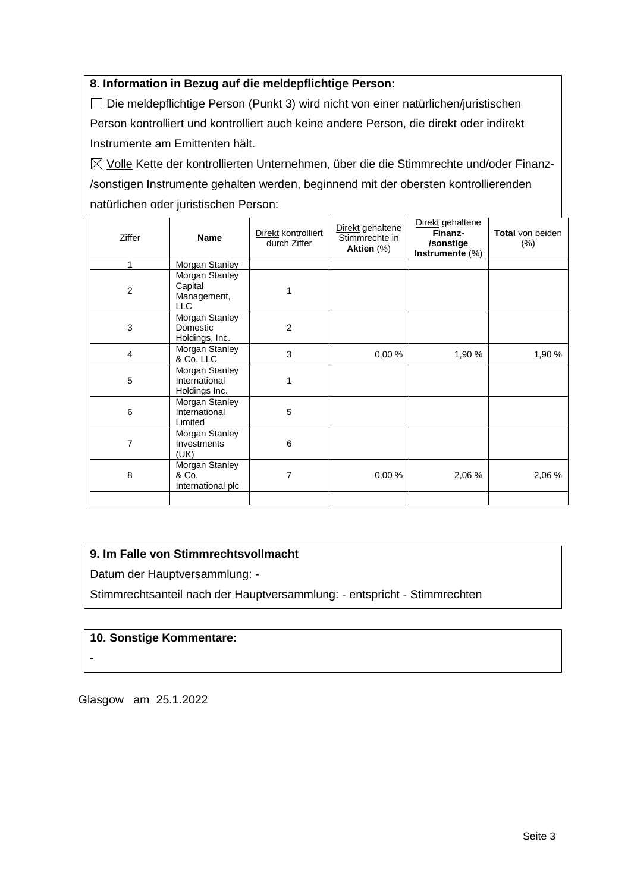## **8. Information in Bezug auf die meldepflichtige Person:**

Die meldepflichtige Person (Punkt 3) wird nicht von einer natürlichen/juristischen Person kontrolliert und kontrolliert auch keine andere Person, die direkt oder indirekt Instrumente am Emittenten hält.

 $\boxtimes$  Volle Kette der kontrollierten Unternehmen, über die die Stimmrechte und/oder Finanz-/sonstigen Instrumente gehalten werden, beginnend mit der obersten kontrollierenden natürlichen oder juristischen Person:

| Ziffer         | <b>Name</b>                                            | Direkt kontrolliert<br>durch Ziffer | Direkt gehaltene<br>Stimmrechte in<br>Aktien (%) | Direkt gehaltene<br>Finanz-<br>/sonstige<br>Instrumente (%) | <b>Total</b> von beiden<br>$(\% )$ |
|----------------|--------------------------------------------------------|-------------------------------------|--------------------------------------------------|-------------------------------------------------------------|------------------------------------|
| 1              | Morgan Stanley                                         |                                     |                                                  |                                                             |                                    |
| $\overline{c}$ | Morgan Stanley<br>Capital<br>Management,<br><b>LLC</b> |                                     |                                                  |                                                             |                                    |
| 3              | Morgan Stanley<br>Domestic<br>Holdings, Inc.           | $\overline{2}$                      |                                                  |                                                             |                                    |
| $\overline{4}$ | Morgan Stanley<br>& Co. LLC                            | 3                                   | 0,00%                                            | 1,90 %                                                      | 1,90 %                             |
| 5              | Morgan Stanley<br>International<br>Holdings Inc.       | 1                                   |                                                  |                                                             |                                    |
| 6              | Morgan Stanley<br>International<br>Limited             | 5                                   |                                                  |                                                             |                                    |
| $\overline{7}$ | Morgan Stanley<br>Investments<br>(UK)                  | 6                                   |                                                  |                                                             |                                    |
| 8              | Morgan Stanley<br>& Co.<br>International plc           | 7                                   | 0,00%                                            | 2,06 %                                                      | 2,06 %                             |
|                |                                                        |                                     |                                                  |                                                             |                                    |

## **9. Im Falle von Stimmrechtsvollmacht**

Datum der Hauptversammlung: -

Stimmrechtsanteil nach der Hauptversammlung: - entspricht - Stimmrechten

#### **10. Sonstige Kommentare:**

-

Glasgow am 25.1.2022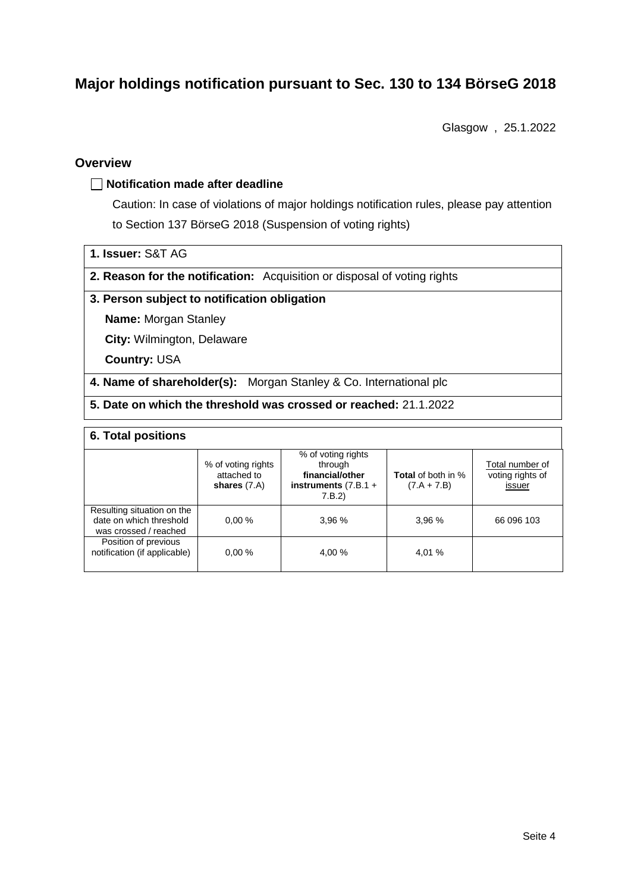# **Major holdings notification pursuant to Sec. 130 to 134 BörseG 2018**

Glasgow , 25.1.2022

### **Overview**

#### **Notification made after deadline**

Caution: In case of violations of major holdings notification rules, please pay attention to Section 137 BörseG 2018 (Suspension of voting rights)

- **1. Issuer:** S&T AG
- **2. Reason for the notification:** Acquisition or disposal of voting rights

#### **3. Person subject to notification obligation**

**Name:** Morgan Stanley

**City:** Wilmington, Delaware

**Country:** USA

**4. Name of shareholder(s):** Morgan Stanley & Co. International plc

**5. Date on which the threshold was crossed or reached:** 21.1.2022

#### **6. Total positions**

|                                                                                | % of voting rights<br>attached to<br>shares $(7.A)$ | % of voting rights<br>through<br>financial/other<br>instruments $(7.B.1 +$<br>7.B.2 | <b>Total</b> of both in %<br>$(7.A + 7.B)$ | Total number of<br>voting rights of<br>issuer |
|--------------------------------------------------------------------------------|-----------------------------------------------------|-------------------------------------------------------------------------------------|--------------------------------------------|-----------------------------------------------|
| Resulting situation on the<br>date on which threshold<br>was crossed / reached | 0.00%                                               | 3.96%                                                                               | 3,96%                                      | 66 096 103                                    |
| Position of previous<br>notification (if applicable)                           | 0.00%                                               | 4.00 %                                                                              | 4.01 %                                     |                                               |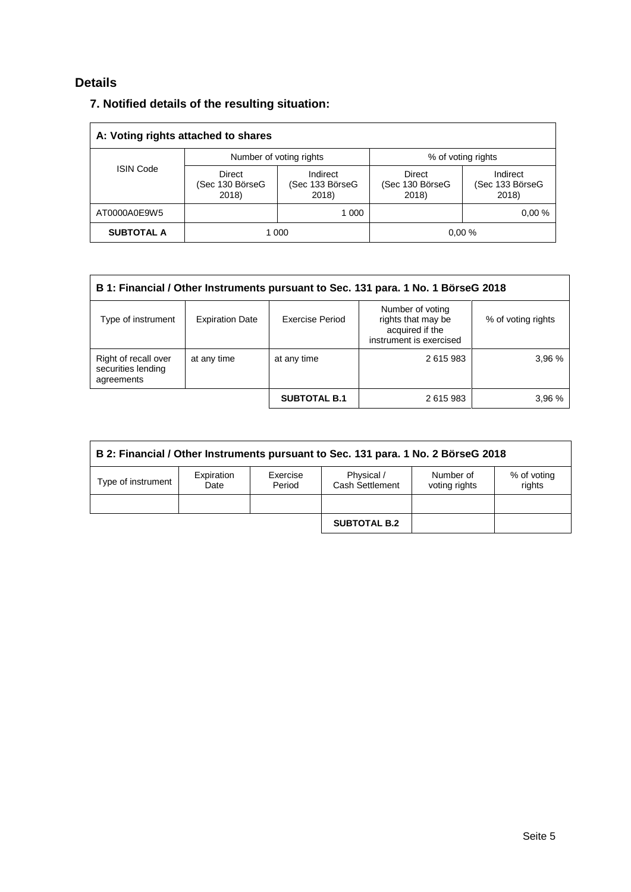# **Details**

## **7. Notified details of the resulting situation:**

| A: Voting rights attached to shares |                                    |                                      |                                    |                                      |  |  |  |  |
|-------------------------------------|------------------------------------|--------------------------------------|------------------------------------|--------------------------------------|--|--|--|--|
|                                     |                                    | Number of voting rights              | % of voting rights                 |                                      |  |  |  |  |
| <b>ISIN Code</b>                    | Direct<br>(Sec 130 BörseG<br>2018) | Indirect<br>(Sec 133 BörseG<br>2018) | Direct<br>(Sec 130 BörseG<br>2018) | Indirect<br>(Sec 133 BörseG<br>2018) |  |  |  |  |
| AT0000A0E9W5                        |                                    | 1 000                                |                                    | 0.00%                                |  |  |  |  |
| <b>SUBTOTAL A</b>                   | 0.00%<br>1 000                     |                                      |                                    |                                      |  |  |  |  |

| B 1: Financial / Other Instruments pursuant to Sec. 131 para. 1 No. 1 BörseG 2018 |                        |                     |                                                                                      |                    |  |  |
|-----------------------------------------------------------------------------------|------------------------|---------------------|--------------------------------------------------------------------------------------|--------------------|--|--|
| Type of instrument                                                                | <b>Expiration Date</b> | Exercise Period     | Number of voting<br>rights that may be<br>acquired if the<br>instrument is exercised | % of voting rights |  |  |
| Right of recall over<br>securities lending<br>agreements                          | at any time            | at any time         | 2615983                                                                              | 3,96 %             |  |  |
|                                                                                   |                        | <b>SUBTOTAL B.1</b> | 2615983                                                                              | 3.96 %             |  |  |

| B 2: Financial / Other Instruments pursuant to Sec. 131 para. 1 No. 2 BörseG 2018 |                    |                    |                               |                            |                       |  |  |
|-----------------------------------------------------------------------------------|--------------------|--------------------|-------------------------------|----------------------------|-----------------------|--|--|
| Type of instrument                                                                | Expiration<br>Date | Exercise<br>Period | Physical /<br>Cash Settlement | Number of<br>voting rights | % of voting<br>rights |  |  |
|                                                                                   |                    |                    |                               |                            |                       |  |  |
|                                                                                   |                    |                    | <b>SUBTOTAL B.2</b>           |                            |                       |  |  |